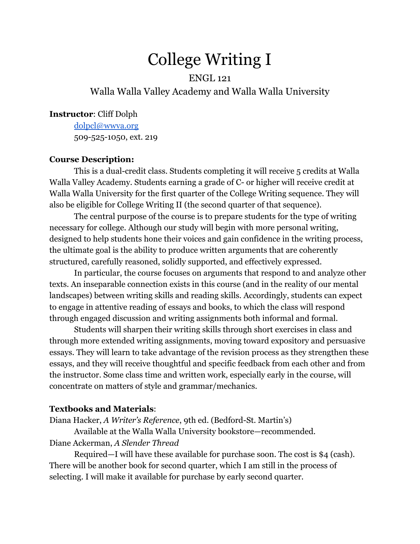# College Writing I

## ENGL 121 Walla Walla Valley Academy and Walla Walla University

#### **Instructor**: Cliff Dolph

[dolpcl@wwva.org](mailto:dolpcl@wwva.org) 509-525-1050, ext. 219

#### **Course Description:**

This is a dual-credit class. Students completing it will receive 5 credits at Walla Walla Valley Academy. Students earning a grade of C- or higher will receive credit at Walla Walla University for the first quarter of the College Writing sequence. They will also be eligible for College Writing II (the second quarter of that sequence).

The central purpose of the course is to prepare students for the type of writing necessary for college. Although our study will begin with more personal writing, designed to help students hone their voices and gain confidence in the writing process, the ultimate goal is the ability to produce written arguments that are coherently structured, carefully reasoned, solidly supported, and effectively expressed.

In particular, the course focuses on arguments that respond to and analyze other texts. An inseparable connection exists in this course (and in the reality of our mental landscapes) between writing skills and reading skills. Accordingly, students can expect to engage in attentive reading of essays and books, to which the class will respond through engaged discussion and writing assignments both informal and formal.

Students will sharpen their writing skills through short exercises in class and through more extended writing assignments, moving toward expository and persuasive essays. They will learn to take advantage of the revision process as they strengthen these essays, and they will receive thoughtful and specific feedback from each other and from the instructor. Some class time and written work, especially early in the course, will concentrate on matters of style and grammar/mechanics.

#### **Textbooks and Materials**:

Diana Hacker, *A Writer's Reference*, 9th ed. (Bedford-St. Martin's)

Available at the Walla Walla University bookstore—recommended. Diane Ackerman, *A Slender Thread*

Required—I will have these available for purchase soon. The cost is \$4 (cash). There will be another book for second quarter, which I am still in the process of selecting. I will make it available for purchase by early second quarter.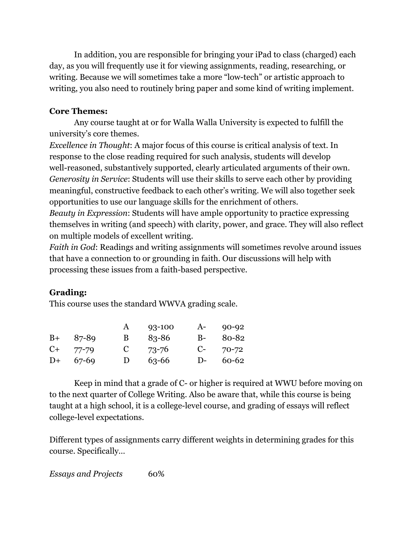In addition, you are responsible for bringing your iPad to class (charged) each day, as you will frequently use it for viewing assignments, reading, researching, or writing. Because we will sometimes take a more "low-tech" or artistic approach to writing, you also need to routinely bring paper and some kind of writing implement.

## **Core Themes:**

Any course taught at or for Walla Walla University is expected to fulfill the university's core themes.

*Excellence in Thought*: A major focus of this course is critical analysis of text. In response to the close reading required for such analysis, students will develop well-reasoned, substantively supported, clearly articulated arguments of their own. *Generosity in Service*: Students will use their skills to serve each other by providing meaningful, constructive feedback to each other's writing. We will also together seek opportunities to use our language skills for the enrichment of others.

*Beauty in Expression*: Students will have ample opportunity to practice expressing themselves in writing (and speech) with clarity, power, and grace. They will also reflect on multiple models of excellent writing.

*Faith in God*: Readings and writing assignments will sometimes revolve around issues that have a connection to or grounding in faith. Our discussions will help with processing these issues from a faith-based perspective.

## **Grading:**

This course uses the standard WWVA grading scale.

|       |            | A | 93-100    | A-   | $90 - 92$ |
|-------|------------|---|-----------|------|-----------|
|       | $B+ 87-89$ | В | 83-86     | $B-$ | 80-82     |
| $C++$ | 77-79      | C | 73-76     | $C-$ | 70-72     |
| $D+$  | 67-69      | D | $63 - 66$ | D-   | 60-62     |

Keep in mind that a grade of C- or higher is required at WWU before moving on to the next quarter of College Writing. Also be aware that, while this course is being taught at a high school, it is a college-level course, and grading of essays will reflect college-level expectations.

Different types of assignments carry different weights in determining grades for this course. Specifically…

*Essays and Projects* 60%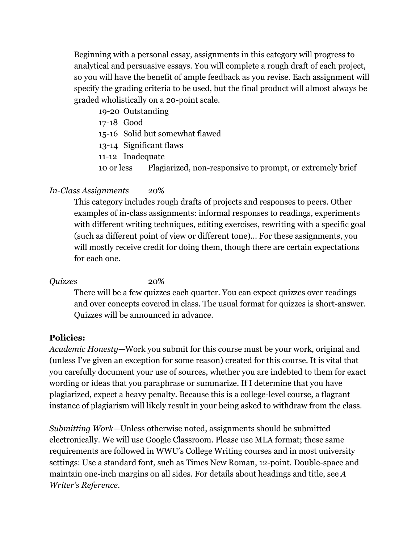Beginning with a personal essay, assignments in this category will progress to analytical and persuasive essays. You will complete a rough draft of each project, so you will have the benefit of ample feedback as you revise. Each assignment will specify the grading criteria to be used, but the final product will almost always be graded wholistically on a 20-point scale.

- 19-20 Outstanding
- 17-18 Good
- 15-16 Solid but somewhat flawed
- 13-14 Significant flaws
- 11-12 Inadequate
- 10 or less Plagiarized, non-responsive to prompt, or extremely brief

### *In-Class Assignments* 20%

This category includes rough drafts of projects and responses to peers. Other examples of in-class assignments: informal responses to readings, experiments with different writing techniques, editing exercises, rewriting with a specific goal (such as different point of view or different tone)... For these assignments, you will mostly receive credit for doing them, though there are certain expectations for each one.

#### *Quizzes* 20%

There will be a few quizzes each quarter. You can expect quizzes over readings and over concepts covered in class. The usual format for quizzes is short-answer. Quizzes will be announced in advance.

#### **Policies:**

*Academic Honesty*—Work you submit for this course must be your work, original and (unless I've given an exception for some reason) created for this course. It is vital that you carefully document your use of sources, whether you are indebted to them for exact wording or ideas that you paraphrase or summarize. If I determine that you have plagiarized, expect a heavy penalty. Because this is a college-level course, a flagrant instance of plagiarism will likely result in your being asked to withdraw from the class.

*Submitting Work*—Unless otherwise noted, assignments should be submitted electronically. We will use Google Classroom. Please use MLA format; these same requirements are followed in WWU's College Writing courses and in most university settings: Use a standard font, such as Times New Roman, 12-point. Double-space and maintain one-inch margins on all sides. For details about headings and title, see *A Writer's Reference*.